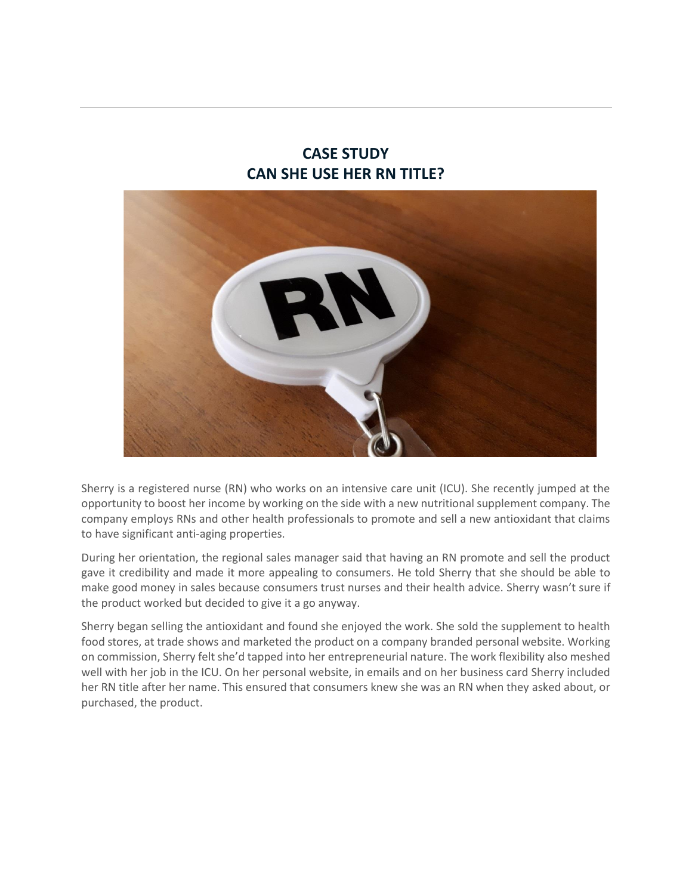# **CASE STUDY CAN SHE USE HER RN TITLE?**



Sherry is a registered nurse (RN) who works on an intensive care unit (ICU). She recently jumped at the opportunity to boost her income by working on the side with a new nutritional supplement company. The company employs RNs and other health professionals to promote and sell a new antioxidant that claims to have significant anti-aging properties.

During her orientation, the regional sales manager said that having an RN promote and sell the product gave it credibility and made it more appealing to consumers. He told Sherry that she should be able to make good money in sales because consumers trust nurses and their health advice. Sherry wasn't sure if the product worked but decided to give it a go anyway.

Sherry began selling the antioxidant and found she enjoyed the work. She sold the supplement to health food stores, at trade shows and marketed the product on a company branded personal website. Working on commission, Sherry felt she'd tapped into her entrepreneurial nature. The work flexibility also meshed well with her job in the ICU. On her personal website, in emails and on her business card Sherry included her RN title after her name. This ensured that consumers knew she was an RN when they asked about, or purchased, the product.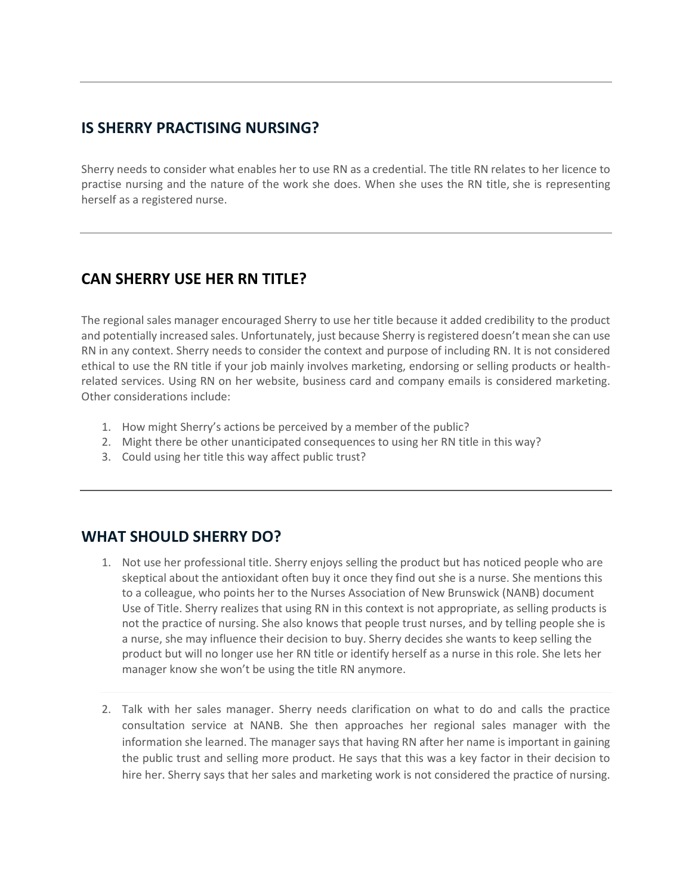#### **IS SHERRY PRACTISING NURSING?**

Sherry needs to consider what enables her to use RN as a credential. The title RN relates to her licence to practise nursing and the nature of the work she does. When she uses the RN title, she is representing herself as a registered nurse.

## **CAN SHERRY USE HER RN TITLE?**

The regional sales manager encouraged Sherry to use her title because it added credibility to the product and potentially increased sales. Unfortunately, just because Sherry is registered doesn't mean she can use RN in any context. Sherry needs to consider the context and purpose of including RN. It is not considered ethical to use the RN title if your job mainly involves marketing, endorsing or selling products or healthrelated services. Using RN on her website, business card and company emails is considered marketing. Other considerations include:

- 1. How might Sherry's actions be perceived by a member of the public?
- 2. Might there be other unanticipated consequences to using her RN title in this way?
- 3. Could using her title this way affect public trust?

## **WHAT SHOULD SHERRY DO?**

- 1. Not use her professional title. Sherry enjoys selling the product but has noticed people who are skeptical about the antioxidant often buy it once they find out she is a nurse. She mentions this to a colleague, who points her to the Nurses Association of New Brunswick (NANB) document Use of Title. Sherry realizes that using RN in this context is not appropriate, as selling products is not the practice of nursing. She also knows that people trust nurses, and by telling people she is a nurse, she may influence their decision to buy. Sherry decides she wants to keep selling the product but will no longer use her RN title or identify herself as a nurse in this role. She lets her manager know she won't be using the title RN anymore.
- 2. Talk with her sales manager. Sherry needs clarification on what to do and calls the practice consultation service at NANB. She then approaches her regional sales manager with the information she learned. The manager says that having RN after her name is important in gaining the public trust and selling more product. He says that this was a key factor in their decision to hire her. Sherry says that her sales and marketing work is not considered the practice of nursing.